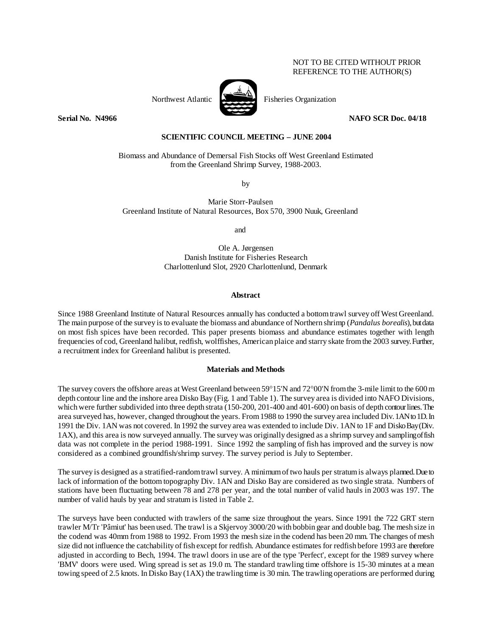## NOT TO BE CITED WITHOUT PRIOR REFERENCE TO THE AUTHOR(S)



Northwest Atlantic Fisheries Organization

**Serial No. 14966** NAFO SCR Doc. 04/18

# **SCIENTIFIC COUNCIL MEETING – JUNE 2004**

Biomass and Abundance of Demersal Fish Stocks off West Greenland Estimated from the Greenland Shrimp Survey, 1988-2003.

by

 Marie Storr-Paulsen Greenland Institute of Natural Resources, Box 570, 3900 Nuuk, Greenland

and

Ole A. Jørgensen Danish Institute for Fisheries Research Charlottenlund Slot, 2920 Charlottenlund, Denmark

### **Abstract**

Since 1988 Greenland Institute of Natural Resources annually has conducted a bottom trawl survey off West Greenland. The main purpose of the survey is to evaluate the biomass and abundance of Northern shrimp (*Pandalus borealis*), but data on most fish spices have been recorded. This paper presents biomass and abundance estimates together with length frequencies of cod, Greenland halibut, redfish, wolffishes, American plaice and starry skate from the 2003 survey. Further, a recruitment index for Greenland halibut is presented.

#### **Materials and Methods**

The survey covers the offshore areas at West Greenland between 59°15'N and 72°00'N from the 3-mile limit to the 600 m depth contour line and the inshore area Disko Bay (Fig. 1 and Table 1). The survey area is divided into NAFO Divisions, which were further subdivided into three depth strata (150-200, 201-400 and 401-600) on basis of depth contour lines. The area surveyed has, however, changed throughout the years. From 1988 to 1990 the survey area included Div. 1AN to 1D. In 1991 the Div. 1AN was not covered. In 1992 the survey area was extended to include Div. 1AN to 1F and Disko Bay (Div. 1AX), and this area is now surveyed annually. The survey was originally designed as a shrimp survey and sampling of fish data was not complete in the period 1988-1991. Since 1992 the sampling of fish has improved and the survey is now considered as a combined groundfish/shrimp survey. The survey period is July to September.

The survey is designed as a stratified-random trawl survey. A minimum of two hauls per stratum is always planned. Due to lack of information of the bottom topography Div. 1AN and Disko Bay are considered as two single strata. Numbers of stations have been fluctuating between 78 and 278 per year, and the total number of valid hauls in 2003 was 197. The number of valid hauls by year and stratum is listed in Table 2.

The surveys have been conducted with trawlers of the same size throughout the years. Since 1991 the 722 GRT stern trawler M/Tr 'Pâmiut' has been used. The trawl is a Skjervoy 3000/20 with bobbin gear and double bag. The mesh size in the codend was 40mm from 1988 to 1992. From 1993 the mesh size in the codend has been 20 mm. The changes of mesh size did not influence the catchability of fish except for redfish. Abundance estimates for redfish before 1993 are therefore adjusted in according to Bech, 1994. The trawl doors in use are of the type 'Perfect', except for the 1989 survey where 'BMV' doors were used. Wing spread is set as 19.0 m. The standard trawling time offshore is 15-30 minutes at a mean towing speed of 2.5 knots. In Disko Bay (1AX) the trawling time is 30 min. The trawling operations are performed during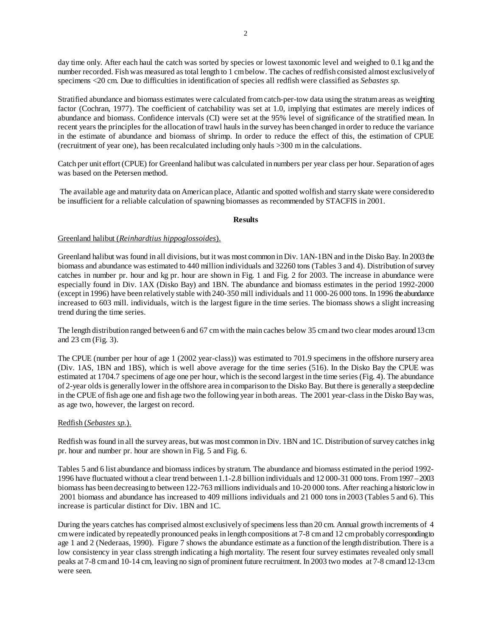day time only. After each haul the catch was sorted by species or lowest taxonomic level and weighed to 0.1 kg and the number recorded. Fish was measured as total length to 1 cm below. The caches of redfish consisted almost exclusively of specimens <20 cm. Due to difficulties in identification of species all redfish were classified as *Sebastes sp.*

Stratified abundance and biomass estimates were calculated from catch-per-tow data using the stratum areas as weighting factor (Cochran, 1977). The coefficient of catchability was set at 1.0, implying that estimates are merely indices of abundance and biomass. Confidence intervals (CI) were set at the 95% level of significance of the stratified mean. In recent years the principles for the allocation of trawl hauls in the survey has been changed in order to reduce the variance in the estimate of abundance and biomass of shrimp. In order to reduce the effect of this, the estimation of CPUE (recruitment of year one), has been recalculated including only hauls >300 m in the calculations.

Catch per unit effort (CPUE) for Greenland halibut was calculated in numbers per year class per hour. Separation of ages was based on the Petersen method.

 The available age and maturity data on American place, Atlantic and spotted wolfish and starry skate were considered to be insufficient for a reliable calculation of spawning biomasses as recommended by STACFIS in 2001.

#### **Results**

# Greenland halibut (*Reinhardtius hippoglossoides*).

Greenland halibut was found in all divisions, but it was most common in Div. 1AN-1BN and in the Disko Bay. In 2003 the biomass and abundance was estimated to 440 million individuals and 32260 tons (Tables 3 and 4). Distribution of survey catches in number pr. hour and kg pr. hour are shown in Fig. 1 and Fig. 2 for 2003. The increase in abundance were especially found in Div. 1AX (Disko Bay) and 1BN. The abundance and biomass estimates in the period 1992-2000 (except in 1996) have been relatively stable with 240-350 mill individuals and 11 000-26 000 tons. In 1996 the abundance increased to 603 mill. individuals, witch is the largest figure in the time series. The biomass shows a slight increasing trend during the time series.

The length distribution ranged between 6 and 67 cm with the main caches below 35 cm and two clear modes around 13 cm and 23 cm (Fig. 3).

The CPUE (number per hour of age 1 (2002 year-class)) was estimated to 701.9 specimens in the offshore nursery area (Div. 1AS, 1BN and 1BS), which is well above average for the time series (516). In the Disko Bay the CPUE was estimated at 1704.7 specimens of age one per hour, which is the second largest in the time series (Fig. 4). The abundance of 2-year olds is generally lower in the offshore area in comparison to the Disko Bay. But there is generally a steep decline in the CPUE of fish age one and fish age two the following year in both areas. The 2001 year-class in the Disko Bay was, as age two, however, the largest on record.

### Redfish (*Sebastes sp.*).

Redfish was found in all the survey areas, but was most common in Div. 1BN and 1C. Distribution of survey catches in kg pr. hour and number pr. hour are shown in Fig. 5 and Fig. 6.

Tables 5 and 6 list abundance and biomass indices by stratum. The abundance and biomass estimated in the period 1992- 1996 have fluctuated without a clear trend between 1.1-2.8 billion individuals and 12 000-31 000 tons. From 1997 – 2003 biomass has been decreasing to between 122-763 millions individuals and 10-20 000 tons. After reaching a historic low in 2001 biomass and abundance has increased to 409 millions individuals and 21 000 tons in 2003 (Tables 5 and 6). This increase is particular distinct for Div. 1BN and 1C.

During the years catches has comprised almost exclusively of specimens less than 20 cm. Annual growth increments of 4 cm were indicated by repeatedly pronounced peaks in length compositions at 7-8 cm and 12 cm probably corresponding to age 1 and 2 (Nederaas, 1990). Figure 7 shows the abundance estimate as a function of the length distribution. There is a low consistency in year class strength indicating a high mortality. The resent four survey estimates revealed only small peaks at 7-8 cm and 10-14 cm, leaving no sign of prominent future recruitment. In 2003 two modes at 7-8 cm and 12-13 cm were seen.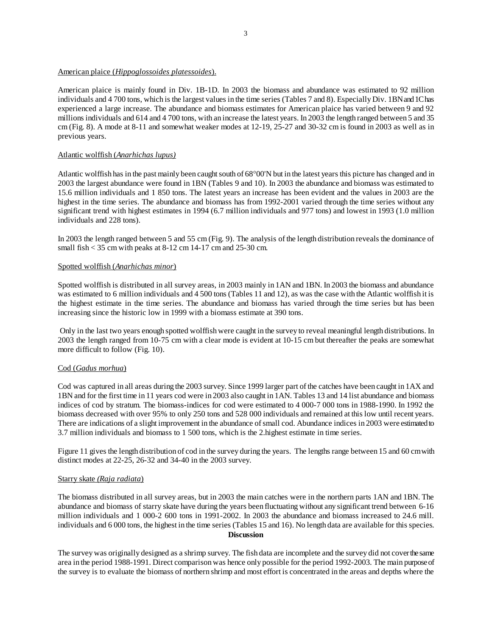### American plaice (*Hippoglossoides platessoides*).

American plaice is mainly found in Div. 1B-1D. In 2003 the biomass and abundance was estimated to 92 million individuals and 4 700 tons, which is the largest values in the time series (Tables 7 and 8). Especially Div. 1BN and 1C has experienced a large increase. The abundance and biomass estimates for American plaice has varied between 9 and 92 millions individuals and 614 and 4 700 tons, with an increase the latest years. In 2003 the length ranged between 5 and 35 cm (Fig. 8). A mode at 8-11 and somewhat weaker modes at 12-19, 25-27 and 30-32 cm is found in 2003 as well as in previous years.

## Atlantic wolffish (*Anarhichas lupus)*

Atlantic wolffish has in the past mainly been caught south of 68°00'N but in the latest years this picture has changed and in 2003 the largest abundance were found in 1BN (Tables 9 and 10). In 2003 the abundance and biomass was estimated to 15.6 million individuals and 1 850 tons. The latest years an increase has been evident and the values in 2003 are the highest in the time series. The abundance and biomass has from 1992-2001 varied through the time series without any significant trend with highest estimates in 1994 (6.7 million individuals and 977 tons) and lowest in 1993 (1.0 million individuals and 228 tons).

In 2003 the length ranged between 5 and 55 cm (Fig. 9). The analysis of the length distribution reveals the dominance of small fish < 35 cm with peaks at 8-12 cm 14-17 cm and 25-30 cm.

### Spotted wolffish (*Anarhichas minor*)

Spotted wolffish is distributed in all survey areas, in 2003 mainly in 1AN and 1BN. In 2003 the biomass and abundance was estimated to 6 million individuals and 4 500 tons (Tables 11 and 12), as was the case with the Atlantic wolffish it is the highest estimate in the time series. The abundance and biomass has varied through the time series but has been increasing since the historic low in 1999 with a biomass estimate at 390 tons.

 Only in the last two years enough spotted wolffish were caught in the survey to reveal meaningful length distributions. In 2003 the length ranged from 10-75 cm with a clear mode is evident at 10-15 cm but thereafter the peaks are somewhat more difficult to follow (Fig. 10).

# Cod (*Gadus morhua*)

Cod was captured in all areas during the 2003 survey. Since 1999 larger part of the catches have been caught in 1AX and 1BN and for the first time in 11 years cod were in 2003 also caught in 1AN. Tables 13 and 14 list abundance and biomass indices of cod by stratum. The biomass-indices for cod were estimated to 4 000-7 000 tons in 1988-1990. In 1992 the biomass decreased with over 95% to only 250 tons and 528 000 individuals and remained at this low until recent years. There are indications of a slight improvement in the abundance of small cod. Abundance indices in 2003 were estimated to 3.7 million individuals and biomass to 1 500 tons, which is the 2.highest estimate in time series.

Figure 11 gives the length distribution of cod in the survey during the years. The lengths range between 15 and 60 cm with distinct modes at 22-25, 26-32 and 34-40 in the 2003 survey.

### Starry skate *(Raja radiata*)

The biomass distributed in all survey areas, but in 2003 the main catches were in the northern parts 1AN and 1BN. The abundance and biomass of starry skate have during the years been fluctuating without any significant trend between 6-16 million individuals and 1 000-2 600 tons in 1991-2002. In 2003 the abundance and biomass increased to 24.6 mill. individuals and 6 000 tons, the highest in the time series (Tables 15 and 16). No length data are available for this species. **Discussion** 

The survey was originally designed as a shrimp survey. The fish data are incomplete and the survey did not cover the same area in the period 1988-1991. Direct comparison was hence only possible for the period 1992-2003. The main purpose of the survey is to evaluate the biomass of northern shrimp and most effort is concentrated in the areas and depths where the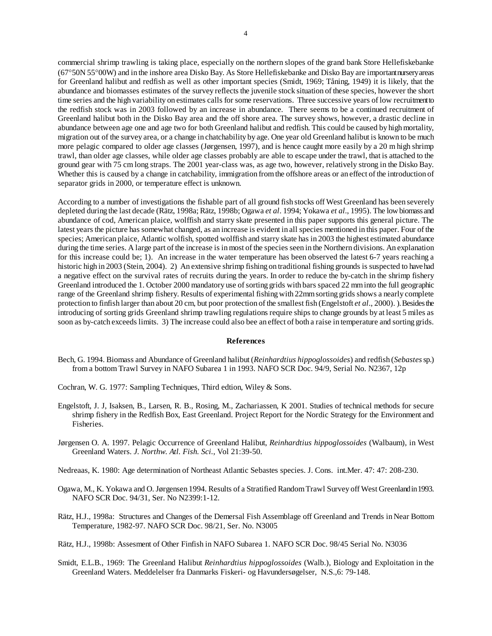commercial shrimp trawling is taking place, especially on the northern slopes of the grand bank Store Hellefiskebanke (67°50N 55°00W) and in the inshore area Disko Bay. As Store Hellefiskebanke and Disko Bay are important nursery areas for Greenland halibut and redfish as well as other important species (Smidt, 1969; Tåning, 1949) it is likely, that the abundance and biomasses estimates of the survey reflects the juvenile stock situation of these species, however the short time series and the high variability on estimates calls for some reservations. Three successive years of low recruitment to the redfish stock was in 2003 followed by an increase in abundance. There seems to be a continued recruitment of Greenland halibut both in the Disko Bay area and the off shore area. The survey shows, however, a drastic decline in abundance between age one and age two for both Greenland halibut and redfish. This could be caused by high mortality, migration out of the survey area, or a change in chatchability by age. One year old Greenland halibut is known to be much more pelagic compared to older age classes (Jørgensen, 1997), and is hence caught more easily by a 20 m high shrimp trawl, than older age classes, while older age classes probably are able to escape under the trawl, that is attached to the ground gear with 75 cm long straps. The 2001 year-class was, as age two, however, relatively strong in the Disko Bay. Whether this is caused by a change in catchability, immigration from the offshore areas or an effect of the introduction of separator grids in 2000, or temperature effect is unknown.

According to a number of investigations the fishable part of all ground fish stocks off West Greenland has been severely depleted during the last decade (Rätz, 1998a; Rätz, 1998b; Ogawa *et al*. 1994; Yokawa *et al*., 1995). The low biomass and abundance of cod, American plaice, wolffish and starry skate presented in this paper supports this general picture. The latest years the picture has somewhat changed, as an increase is evident in all species mentioned in this paper. Four of the species; American plaice, Atlantic wolfish, spotted wolffish and starry skate has in 2003 the highest estimated abundance during the time series. A large part of the increase is in most of the species seen in the Northern divisions. An explanation for this increase could be; 1). An increase in the water temperature has been observed the latest 6-7 years reaching a historic high in 2003 (Stein, 2004). 2) An extensive shrimp fishing on traditional fishing grounds is suspected to have had a negative effect on the survival rates of recruits during the years. In order to reduce the by-catch in the shrimp fishery Greenland introduced the 1. October 2000 mandatory use of sorting grids with bars spaced 22 mm into the full geographic range of the Greenland shrimp fishery. Results of experimental fishing with 22mm sorting grids shows a nearly complete protection to finfish larger than about 20 cm, but poor protection of the smallest fish (Engelstoft *et al*., 2000). ). Besides the introducing of sorting grids Greenland shrimp trawling regulations require ships to change grounds by at least 5 miles as soon as by-catch exceeds limits. 3) The increase could also bee an effect of both a raise in temperature and sorting grids.

#### **References**

- Bech, G. 1994. Biomass and Abundance of Greenland halibut (*Reinhardtius hippoglossoides*) and redfish (*Sebastes* sp.) from a bottom Trawl Survey in NAFO Subarea 1 in 1993. NAFO SCR Doc. 94/9, Serial No. N2367, 12p
- Cochran, W. G. 1977: Sampling Techniques, Third edtion, Wiley & Sons.
- Engelstoft, J. J, Isaksen, B., Larsen, R. B., Rosing, M., Zachariassen, K 2001. Studies of technical methods for secure shrimp fishery in the Redfish Box, East Greenland. Project Report for the Nordic Strategy for the Environment and Fisheries.
- Jørgensen O. A. 1997. Pelagic Occurrence of Greenland Halibut, *Reinhardtius hippoglossoides* (Walbaum), in West Greenland Waters. *J. Northw. Atl. Fish. Sci.*, Vol 21:39-50.
- Nedreaas, K. 1980: Age determination of Northeast Atlantic Sebastes species. J. Cons. int.Mer. 47: 47: 208-230.
- Ogawa, M., K. Yokawa and O. Jørgensen 1994. Results of a Stratified Random Trawl Survey off West Greenland in 1993. NAFO SCR Doc. 94/31, Ser. No N2399:1-12.
- Rätz, H.J., 1998a: Structures and Changes of the Demersal Fish Assemblage off Greenland and Trends in Near Bottom Temperature, 1982-97. NAFO SCR Doc. 98/21, Ser. No. N3005
- Rätz, H.J., 1998b: Assesment of Other Finfish in NAFO Subarea 1. NAFO SCR Doc. 98/45 Serial No. N3036
- Smidt, E.L.B., 1969: The Greenland Halibut *Reinhardtius hippoglossoides* (Walb.), Biology and Exploitation in the Greenland Waters. Meddelelser fra Danmarks Fiskeri- og Havundersøgelser, N.S.,6: 79-148.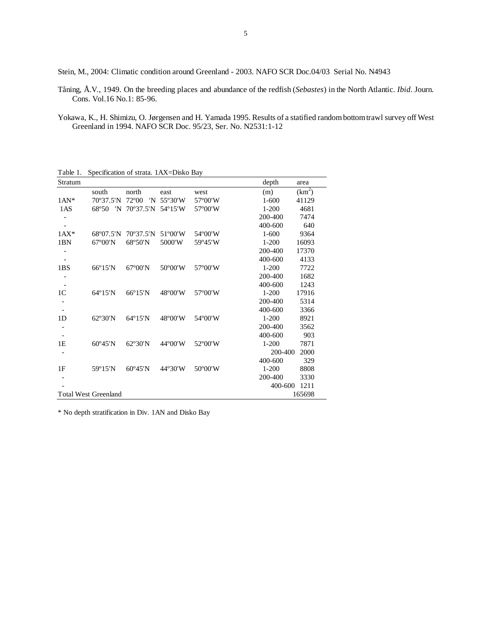Stein, M., 2004: Climatic condition around Greenland - 2003. NAFO SCR Doc.04/03 Serial No. N4943

- Tåning, Å.V., 1949. On the breeding places and abundance of the redfish (*Sebastes*) in the North Atlantic. *Ibid*. Journ. Cons. Vol.16 No.1: 85-96.
- Yokawa, K., H. Shimizu, O. Jørgensen and H. Yamada 1995. Results of a statified random bottom trawl survey off West Greenland in 1994. NAFO SCR Doc. 95/23, Ser. No. N2531:1-12

Table 1. Specification of strata. 1AX=Disko Bay

| Stratum                  |                             |                      |                  |         | depth     | area               |
|--------------------------|-----------------------------|----------------------|------------------|---------|-----------|--------------------|
|                          | south                       | north                | east             | west    | (m)       | (km <sup>2</sup> ) |
| $1AN*$                   | 70°37.5'N                   | $72^{\circ}00$<br>'N | 55°30'W          | 57°00'W | $1 - 600$ | 41129              |
| 1AS                      | 68°50<br>'N                 | 70°37.5'N            | 54°15'W          | 57°00'W | $1-200$   | 4681               |
|                          |                             |                      |                  |         | 200-400   | 7474               |
|                          |                             |                      |                  |         | 400-600   | 640                |
| $1AX*$                   | 68°07.5'N                   | 70°37.5'N            | $51^{\circ}00'W$ | 54°00'W | $1 - 600$ | 9364               |
| 1BN                      | $67^{\circ}00'$ N           | 68°50'N              | 5000'W           | 59°45'W | $1 - 200$ | 16093              |
|                          |                             |                      |                  |         | 200-400   | 17370              |
|                          |                             |                      |                  |         | 400-600   | 4133               |
| 1BS                      | 66°15'N                     | $67^{\circ}00'$ N    | 50°00'W          | 57°00'W | $1 - 200$ | 7722               |
|                          |                             |                      |                  |         | 200-400   | 1682               |
| $\overline{\phantom{a}}$ |                             |                      |                  |         | 400-600   | 1243               |
| 1 <sup>C</sup>           | $64^{\circ}15'$ N           | 66°15'N              | 48°00'W          | 57°00'W | $1 - 200$ | 17916              |
|                          |                             |                      |                  |         | 200-400   | 5314               |
|                          |                             |                      |                  |         | 400-600   | 3366               |
| 1 <sub>D</sub>           | $62^{\circ}30^{\prime}N$    | $64^{\circ}15'$ N    | 48°00'W          | 54°00'W | $1 - 200$ | 8921               |
|                          |                             |                      |                  |         | 200-400   | 3562               |
|                          |                             |                      |                  |         | 400-600   | 903                |
| 1E                       | $60^{\circ}45'$ N           | 62°30'N              | 44°00'W          | 52°00'W | $1 - 200$ | 7871               |
|                          |                             |                      |                  |         | 200-400   | 2000               |
|                          |                             |                      |                  |         | 400-600   | 329                |
| 1F                       | 59°15'N                     | 60°45'N              | 44°30'W          | 50°00'W | $1 - 200$ | 8808               |
|                          |                             |                      |                  |         | 200-400   | 3330               |
|                          |                             |                      |                  |         | 400-600   | 1211               |
|                          | <b>Total West Greenland</b> |                      |                  |         |           | 165698             |

\* No depth stratification in Div. 1AN and Disko Bay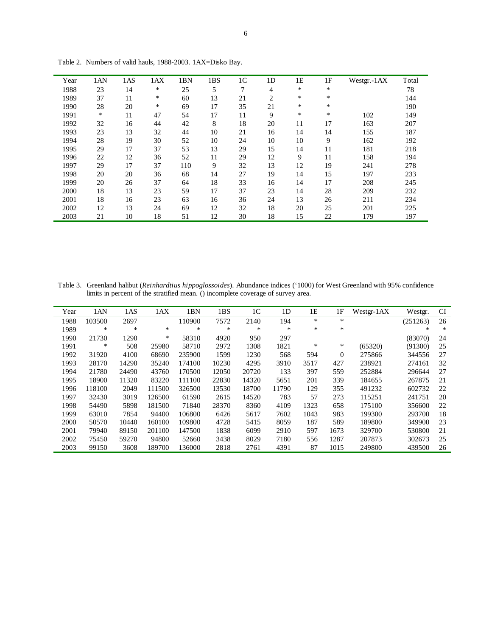| Year | 1AN | 1AS | 1AX | 1BN | 1BS | 1 <sup>C</sup> | 1 <sub>D</sub> | 1E | 1F     | Westgr.-1AX | Total |
|------|-----|-----|-----|-----|-----|----------------|----------------|----|--------|-------------|-------|
| 1988 | 23  | 14  | *   | 25  | 5   | 7              | 4              | *  | $\ast$ |             | 78    |
| 1989 | 37  | 11  | ∗   | 60  | 13  | 21             | 2              | *  | *      |             | 144   |
| 1990 | 28  | 20  | *   | 69  | 17  | 35             | 21             | *  | $\ast$ |             | 190   |
| 1991 | ∗   | 11  | 47  | 54  | 17  | 11             | 9              | ∗  | *      | 102         | 149   |
| 1992 | 32  | 16  | 44  | 42  | 8   | 18             | 20             | 11 | 17     | 163         | 207   |
| 1993 | 23  | 13  | 32  | 44  | 10  | 21             | 16             | 14 | 14     | 155         | 187   |
| 1994 | 28  | 19  | 30  | 52  | 10  | 24             | 10             | 10 | 9      | 162         | 192   |
| 1995 | 29  | 17  | 37  | 53  | 13  | 29             | 15             | 14 | 11     | 181         | 218   |
| 1996 | 22  | 12  | 36  | 52  | 11  | 29             | 12             | 9  | 11     | 158         | 194   |
| 1997 | 29  | 17  | 37  | 110 | 9   | 32             | 13             | 12 | 19     | 241         | 278   |
| 1998 | 20  | 20  | 36  | 68  | 14  | 27             | 19             | 14 | 15     | 197         | 233   |
| 1999 | 20  | 26  | 37  | 64  | 18  | 33             | 16             | 14 | 17     | 208         | 245   |
| 2000 | 18  | 13  | 23  | 59  | 17  | 37             | 23             | 14 | 28     | 209         | 232   |
| 2001 | 18  | 16  | 23  | 63  | 16  | 36             | 24             | 13 | 26     | 211         | 234   |
| 2002 | 12  | 13  | 24  | 69  | 12  | 32             | 18             | 20 | 25     | 201         | 225   |
| 2003 | 21  | 10  | 18  | 51  | 12  | 30             | 18             | 15 | 22     | 179         | 197   |

Table 2. Numbers of valid hauls, 1988-2003. 1AX=Disko Bay.

Table 3. Greenland halibut (*Reinhardtius hippoglossoides*). Abundance indices ('1000) for West Greenland with 95% confidence limits in percent of the stratified mean. () incomplete coverage of survey area.

| Year | 1AN    | 1AS   | 1AX    | 1BN    | 1BS   | 1 <sup>C</sup> | 1D    | 1E     | 1F           | Westgr-1AX | Westgr.  | <b>CI</b> |
|------|--------|-------|--------|--------|-------|----------------|-------|--------|--------------|------------|----------|-----------|
| 1988 | 103500 | 2697  |        | 110900 | 7572  | 2140           | 194   | $\ast$ | $*$          |            | (251263) | 26        |
| 1989 | ∗      | *     | $\ast$ | *      | *     | *              | $*$   | *      | $\ast$       |            | $\ast$   | *         |
| 1990 | 21730  | 1290  | *      | 58310  | 4920  | 950            | 297   |        |              |            | (83070)  | 24        |
| 1991 | ∗      | 508   | 25980  | 58710  | 2972  | 1308           | 1821  | *      | $\ast$       | (65320)    | (91300)  | 25        |
| 1992 | 31920  | 4100  | 68690  | 235900 | 1599  | 1230           | 568   | 594    | $\mathbf{0}$ | 275866     | 344556   | 27        |
| 1993 | 28170  | 14290 | 35240  | 174100 | 10230 | 4295           | 3910  | 3517   | 427          | 238921     | 274161   | 32        |
| 1994 | 21780  | 24490 | 43760  | 170500 | 12050 | 20720          | 133   | 397    | 559          | 252884     | 296644   | 27        |
| 1995 | 18900  | 11320 | 83220  | 111100 | 22830 | 14320          | 5651  | 201    | 339          | 184655     | 267875   | 21        |
| 1996 | 118100 | 2049  | 111500 | 326500 | 13530 | 18700          | 11790 | 129    | 355          | 491232     | 602732   | 22        |
| 1997 | 32430  | 3019  | 126500 | 61590  | 2615  | 14520          | 783   | 57     | 273          | 115251     | 241751   | 20        |
| 1998 | 54490  | 5898  | 181500 | 71840  | 28370 | 8360           | 4109  | 1323   | 658          | 175100     | 356600   | 22        |
| 1999 | 63010  | 7854  | 94400  | 106800 | 6426  | 5617           | 7602  | 1043   | 983          | 199300     | 293700   | 18        |
| 2000 | 50570  | 10440 | 160100 | 109800 | 4728  | 5415           | 8059  | 187    | 589          | 189800     | 349900   | 23        |
| 2001 | 79940  | 89150 | 201100 | 147500 | 1838  | 6099           | 2910  | 597    | 1673         | 329700     | 530800   | 21        |
| 2002 | 75450  | 59270 | 94800  | 52660  | 3438  | 8029           | 7180  | 556    | 1287         | 207873     | 302673   | 25        |
| 2003 | 99150  | 3608  | 189700 | 136000 | 2818  | 2761           | 4391  | 87     | 1015         | 249800     | 439500   | 26        |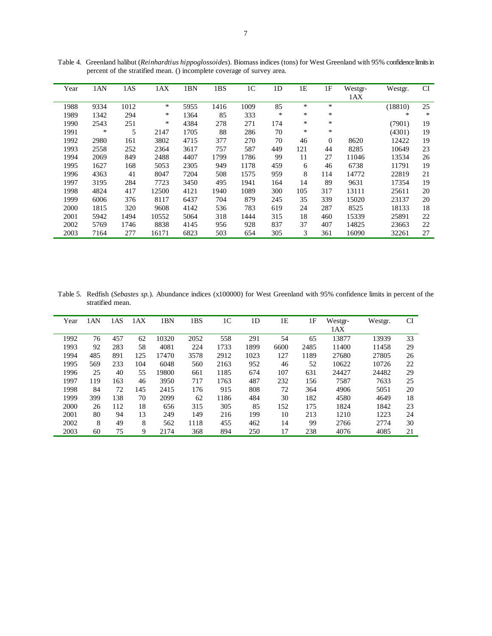| Year | 1AN  | 1AS  | 1AX    | 1BN  | 1BS  | 1 <sup>C</sup> | 1 <sub>D</sub> | 1E     | 1F       | Westgr- | Westgr. | <b>CI</b> |
|------|------|------|--------|------|------|----------------|----------------|--------|----------|---------|---------|-----------|
|      |      |      |        |      |      |                |                |        |          | 1AX     |         |           |
| 1988 | 9334 | 1012 | *      | 5955 | 1416 | 1009           | 85             | ∗      | *        |         | (18810) | 25        |
| 1989 | 1342 | 294  | $\ast$ | 1364 | 85   | 333            | ∗              | $\ast$ | *        |         | *       | $\ast$    |
| 1990 | 2543 | 251  | $\ast$ | 4384 | 278  | 271            | 174            | $\ast$ | *        |         | (7901)  | 19        |
| 1991 | *    | 5    | 2147   | 1705 | 88   | 286            | 70             | $\ast$ | *        |         | (4301)  | 19        |
| 1992 | 2980 | 161  | 3802   | 4715 | 377  | 270            | 70             | 46     | $\theta$ | 8620    | 12422   | 19        |
| 1993 | 2558 | 252  | 2364   | 3617 | 757  | 587            | 449            | 121    | 44       | 8285    | 10649   | 23        |
| 1994 | 2069 | 849  | 2488   | 4407 | 1799 | 1786           | 99             | 11     | 27       | 11046   | 13534   | 26        |
| 1995 | 1627 | 168  | 5053   | 2305 | 949  | 1178           | 459            | 6      | 46       | 6738    | 11791   | 19        |
| 1996 | 4363 | 41   | 8047   | 7204 | 508  | 1575           | 959            | 8      | 114      | 14772   | 22819   | 21        |
| 1997 | 3195 | 284  | 7723   | 3450 | 495  | 1941           | 164            | 14     | 89       | 9631    | 17354   | 19        |
| 1998 | 4824 | 417  | 12500  | 4121 | 1940 | 1089           | 300            | 105    | 317      | 13111   | 25611   | 20        |
| 1999 | 6006 | 376  | 8117   | 6437 | 704  | 879            | 245            | 35     | 339      | 15020   | 23137   | 20        |
| 2000 | 1815 | 320  | 9608   | 4142 | 536  | 783            | 619            | 24     | 287      | 8525    | 18133   | 18        |
| 2001 | 5942 | 1494 | 10552  | 5064 | 318  | 1444           | 315            | 18     | 460      | 15339   | 25891   | 22        |
| 2002 | 5769 | 1746 | 8838   | 4145 | 956  | 928            | 837            | 37     | 407      | 14825   | 23663   | 22        |
| 2003 | 7164 | 277  | 16171  | 6823 | 503  | 654            | 305            | 3      | 361      | 16090   | 32261   | 27        |

Table 4. Greenland halibut (*Reinhardtius hippoglossoides*). Biomass indices (tons) for West Greenland with 95% confidence limits in percent of the stratified mean. () incomplete coverage of survey area.

Table 5. Redfish (*Sebastes sp.*). Abundance indices (x100000) for West Greenland with 95% confidence limits in percent of the stratified mean.

| Year | 1AN | 1AS | 1AX | 1BN   | 1BS  | 1 <sup>C</sup> | 1D   | 1E   | 1F   | Westgr- | Westgr. | <b>CI</b> |
|------|-----|-----|-----|-------|------|----------------|------|------|------|---------|---------|-----------|
|      |     |     |     |       |      |                |      |      |      | 1AX     |         |           |
| 1992 | 76  | 457 | 62  | 10320 | 2052 | 558            | 291  | 54   | 65   | 13877   | 13939   | 33        |
| 1993 | 92  | 283 | 58  | 4081  | 224  | 1733           | 1899 | 6600 | 2485 | 11400   | 11458   | 29        |
| 1994 | 485 | 891 | 125 | 17470 | 3578 | 2912           | 1023 | 127  | 1189 | 27680   | 27805   | 26        |
| 1995 | 569 | 233 | 104 | 6048  | 560  | 2163           | 952  | 46   | 52   | 10622   | 10726   | 22        |
| 1996 | 25  | 40  | 55  | 19800 | 661  | 1185           | 674  | 107  | 631  | 24427   | 24482   | 29        |
| 1997 | 119 | 163 | 46  | 3950  | 717  | 1763           | 487  | 232  | 156  | 7587    | 7633    | 25        |
| 1998 | 84  | 72  | 145 | 2415  | 176  | 915            | 808  | 72   | 364  | 4906    | 5051    | 20        |
| 1999 | 399 | 138 | 70  | 2099  | 62   | 1186           | 484  | 30   | 182  | 4580    | 4649    | 18        |
| 2000 | 26  | 112 | 18  | 656   | 315  | 305            | 85   | 152  | 175  | 1824    | 1842    | 23        |
| 2001 | 80  | 94  | 13  | 249   | 149  | 216            | 199  | 10   | 213  | 1210    | 1223    | 24        |
| 2002 | 8   | 49  | 8   | 562   | 1118 | 455            | 462  | 14   | 99   | 2766    | 2774    | 30        |
| 2003 | 60  | 75  | 9   | 2174  | 368  | 894            | 250  | 17   | 238  | 4076    | 4085    | 21        |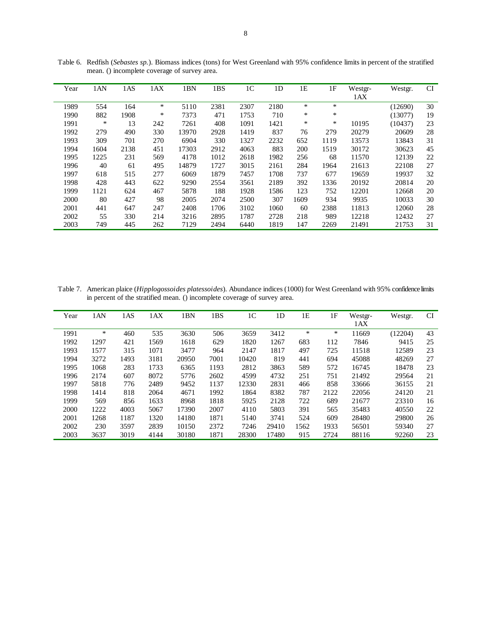| Year | 1AN    | 1AS  | 1AX    | 1BN   | 1BS  | 1 <sup>C</sup> | 1 <sub>D</sub> | 1E   | 1F     | Westgr- | Westgr. | <b>CI</b> |
|------|--------|------|--------|-------|------|----------------|----------------|------|--------|---------|---------|-----------|
|      |        |      |        |       |      |                |                |      |        | 1AX     |         |           |
| 1989 | 554    | 164  | $\ast$ | 5110  | 2381 | 2307           | 2180           | *    | *      |         | (12690) | 30        |
| 1990 | 882    | 1908 | ∗      | 7373  | 471  | 1753           | 710            | *    | *      |         | (13077) | 19        |
| 1991 | $\ast$ | 13   | 242    | 7261  | 408  | 1091           | 1421           | *    | $\ast$ | 10195   | (10437) | 23        |
| 1992 | 279    | 490  | 330    | 13970 | 2928 | 1419           | 837            | 76   | 279    | 20279   | 20609   | 28        |
| 1993 | 309    | 701  | 270    | 6904  | 330  | 1327           | 2232           | 652  | 1119   | 13573   | 13843   | 31        |
| 1994 | 1604   | 2138 | 451    | 17303 | 2912 | 4063           | 883            | 200  | 1519   | 30172   | 30623   | 45        |
| 1995 | 1225   | 231  | 569    | 4178  | 1012 | 2618           | 1982           | 256  | 68     | 11570   | 12139   | 22        |
| 1996 | 40     | 61   | 495    | 14879 | 1727 | 3015           | 2161           | 284  | 1964   | 21613   | 22108   | 27        |
| 1997 | 618    | 515  | 277    | 6069  | 1879 | 7457           | 1708           | 737  | 677    | 19659   | 19937   | 32        |
| 1998 | 428    | 443  | 622    | 9290  | 2554 | 3561           | 2189           | 392  | 1336   | 20192   | 20814   | 20        |
| 1999 | 1121   | 624  | 467    | 5878  | 188  | 1928           | 1586           | 123  | 752    | 12201   | 12668   | 20        |
| 2000 | 80     | 427  | 98     | 2005  | 2074 | 2500           | 307            | 1609 | 934    | 9935    | 10033   | 30        |
| 2001 | 441    | 647  | 247    | 2408  | 1706 | 3102           | 1060           | 60   | 2388   | 11813   | 12060   | 28        |
| 2002 | 55     | 330  | 214    | 3216  | 2895 | 1787           | 2728           | 218  | 989    | 12218   | 12432   | 27        |
| 2003 | 749    | 445  | 262    | 7129  | 2494 | 6440           | 1819           | 147  | 2269   | 21491   | 21753   | 31        |

Table 6. Redfish (*Sebastes sp.*). Biomass indices (tons) for West Greenland with 95% confidence limits in percent of the stratified mean. () incomplete coverage of survey area.

Table 7. American plaice (*Hipplogossoides platessoides*). Abundance indices (1000) for West Greenland with 95% confidence limits in percent of the stratified mean. () incomplete coverage of survey area.

| Year | 1AN    | 1AS  | 1AX  | 1BN   | 1BS  | 1 <sup>C</sup> | 1 <sub>D</sub> | 1E   | 1F   | Westgr-<br>1AX | Westgr. | <b>CI</b> |
|------|--------|------|------|-------|------|----------------|----------------|------|------|----------------|---------|-----------|
| 1991 | $\ast$ | 460  | 535  | 3630  | 506  | 3659           | 3412           | *    | ∗    | 11669          | (12204) | 43        |
| 1992 | 1297   | 421  | 1569 | 1618  | 629  | 1820           | 1267           | 683  | 112  | 7846           | 9415    | 25        |
| 1993 | 1577   | 315  | 1071 | 3477  | 964  | 2147           | 1817           | 497  | 725  | 11518          | 12589   | 23        |
| 1994 | 3272   | 1493 | 3181 | 20950 | 7001 | 10420          | 819            | 441  | 694  | 45088          | 48269   | 27        |
| 1995 | 1068   | 283  | 1733 | 6365  | 1193 | 2812           | 3863           | 589  | 572  | 16745          | 18478   | 23        |
| 1996 | 2174   | 607  | 8072 | 5776  | 2602 | 4599           | 4732           | 251  | 751  | 21492          | 29564   | 21        |
| 1997 | 5818   | 776  | 2489 | 9452  | 1137 | 12330          | 2831           | 466  | 858  | 33666          | 36155   | 21        |
| 1998 | 1414   | 818  | 2064 | 4671  | 1992 | 1864           | 8382           | 787  | 2122 | 22056          | 24120   | 21        |
| 1999 | 569    | 856  | 1633 | 8968  | 1818 | 5925           | 2128           | 722  | 689  | 21677          | 23310   | 16        |
| 2000 | 1222   | 4003 | 5067 | 17390 | 2007 | 4110           | 5803           | 391  | 565  | 35483          | 40550   | 22        |
| 2001 | 1268   | 1187 | 1320 | 14180 | 1871 | 5140           | 3741           | 524  | 609  | 28480          | 29800   | 26        |
| 2002 | 230    | 3597 | 2839 | 10150 | 2372 | 7246           | 29410          | 1562 | 1933 | 56501          | 59340   | 27        |
| 2003 | 3637   | 3019 | 4144 | 30180 | 1871 | 28300          | 17480          | 915  | 2724 | 88116          | 92260   | 23        |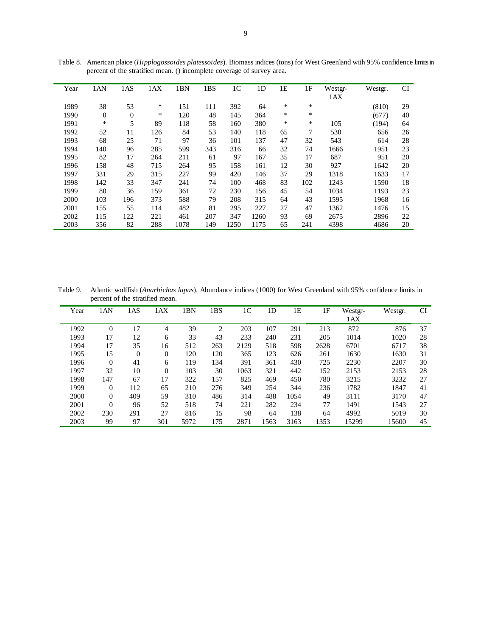| Year | 1AN          | 1AS              | 1AX | 1BN  | 1BS | 1 <sup>C</sup> | 1 <sub>D</sub> | 1E     | 1F  | Westgr- | Westgr. | <b>CI</b> |
|------|--------------|------------------|-----|------|-----|----------------|----------------|--------|-----|---------|---------|-----------|
|      |              |                  |     |      |     |                |                |        |     | 1AX     |         |           |
| 1989 | 38           | 53               | *   | 151  | 111 | 392            | 64             | $\ast$ | *   |         | (810)   | 29        |
| 1990 | $\mathbf{0}$ | $\boldsymbol{0}$ | *   | 120  | 48  | 145            | 364            | $\ast$ | *   |         | (677)   | 40        |
| 1991 | ∗            | 5                | 89  | 118  | 58  | 160            | 380            | $\ast$ | ∗   | 105     | (194)   | 64        |
| 1992 | 52           | 11               | 126 | 84   | 53  | 140            | 118            | 65     | 7   | 530     | 656     | 26        |
| 1993 | 68           | 25               | 71  | 97   | 36  | 101            | 137            | 47     | 32  | 543     | 614     | 28        |
| 1994 | 140          | 96               | 285 | 599  | 343 | 316            | 66             | 32     | 74  | 1666    | 1951    | 23        |
| 1995 | 82           | 17               | 264 | 211  | 61  | 97             | 167            | 35     | 17  | 687     | 951     | 20        |
| 1996 | 158          | 48               | 715 | 264  | 95  | 158            | 161            | 12     | 30  | 927     | 1642    | 20        |
| 1997 | 331          | 29               | 315 | 227  | 99  | 420            | 146            | 37     | 29  | 1318    | 1633    | 17        |
| 1998 | 142          | 33               | 347 | 241  | 74  | 100            | 468            | 83     | 102 | 1243    | 1590    | 18        |
| 1999 | 80           | 36               | 159 | 361  | 72  | 230            | 156            | 45     | 54  | 1034    | 1193    | 23        |
| 2000 | 103          | 196              | 373 | 588  | 79  | 208            | 315            | 64     | 43  | 1595    | 1968    | 16        |
| 2001 | 155          | 55               | 114 | 482  | 81  | 295            | 227            | 27     | 47  | 1362    | 1476    | 15        |
| 2002 | 115          | 122              | 221 | 461  | 207 | 347            | 1260           | 93     | 69  | 2675    | 2896    | 22        |
| 2003 | 356          | 82               | 288 | 1078 | 149 | 1250           | 1175           | 65     | 241 | 4398    | 4686    | 20        |

Table 8. American plaice (*Hipplogossoides platessoides*). Biomass indices (tons) for West Greenland with 95% confidence limits in percent of the stratified mean. () incomplete coverage of survey area.

Table 9. Atlantic wolffish (*Anarhichas lupus*). Abundance indices (1000) for West Greenland with 95% confidence limits in percent of the stratified mean.

| Year | 1AN            | 1AS      | 1AX      | 1BN  | 1BS            | 1C   | 1 <sub>D</sub> | 1Ε   | 1F   | Westgr- | Westgr. | <b>CI</b> |
|------|----------------|----------|----------|------|----------------|------|----------------|------|------|---------|---------|-----------|
|      |                |          |          |      |                |      |                |      |      | 1AX     |         |           |
| 1992 | $\overline{0}$ | 17       | 4        | 39   | $\overline{2}$ | 203  | 107            | 291  | 213  | 872     | 876     | 37        |
| 1993 | 17             | 12       | 6        | 33   | 43             | 233  | 240            | 231  | 205  | 1014    | 1020    | 28        |
| 1994 | 17             | 35       | 16       | 512  | 263            | 2129 | 518            | 598  | 2628 | 6701    | 6717    | 38        |
| 1995 | 15             | $\Omega$ | $\theta$ | 120  | 120            | 365  | 123            | 626  | 261  | 1630    | 1630    | 31        |
| 1996 | $\overline{0}$ | 41       | 6        | 119  | 134            | 391  | 361            | 430  | 725  | 2230    | 2207    | 30        |
| 1997 | 32             | 10       | $\Omega$ | 103  | 30             | 1063 | 321            | 442  | 152  | 2153    | 2153    | 28        |
| 1998 | 147            | 67       | 17       | 322  | 157            | 825  | 469            | 450  | 780  | 3215    | 3232    | 27        |
| 1999 | $\overline{0}$ | 112      | 65       | 210  | 276            | 349  | 254            | 344  | 236  | 1782    | 1847    | 41        |
| 2000 | $\overline{0}$ | 409      | 59       | 310  | 486            | 314  | 488            | 1054 | 49   | 3111    | 3170    | 47        |
| 2001 | $\overline{0}$ | 96       | 52       | 518  | 74             | 221  | 282            | 234  | 77   | 1491    | 1543    | 27        |
| 2002 | 230            | 291      | 27       | 816  | 15             | 98   | 64             | 138  | 64   | 4992    | 5019    | 30        |
| 2003 | 99             | 97       | 301      | 5972 | 175            | 2871 | 1563           | 3163 | 1353 | 15299   | 15600   | 45        |
|      |                |          |          |      |                |      |                |      |      |         |         |           |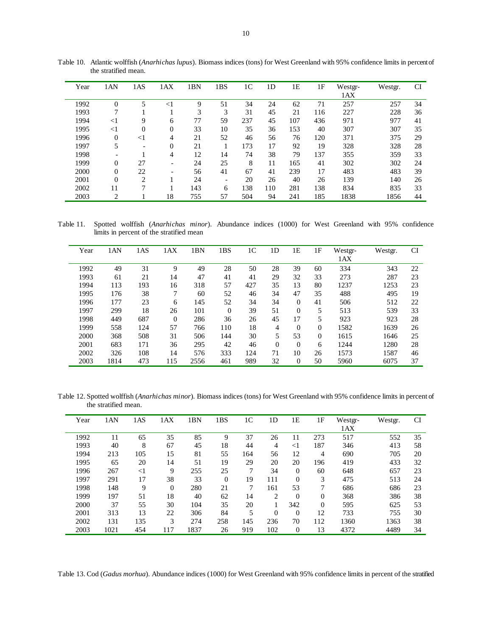| Year | 1AN            | 1AS                      | 1AX            | 1BN | 1BS                      | 1 <sup>C</sup> | 1D  | 1Ε  | 1F  | Westgr-<br>1AX | Westgr. | CI |
|------|----------------|--------------------------|----------------|-----|--------------------------|----------------|-----|-----|-----|----------------|---------|----|
| 1992 | $\theta$       | 5                        | $<$ $\!1$      | 9   | 51                       | 34             | 24  | 62  | 71  | 257            | 257     | 34 |
| 1993 | 7              |                          |                | 3   | 3                        | 31             | 45  | 21  | 116 | 227            | 228     | 36 |
| 1994 | $<$ 1          | 9                        | 6              | 77  | 59                       | 237            | 45  | 107 | 436 | 971            | 977     | 41 |
| 1995 | $<$ 1          | $\overline{0}$           | $\mathbf{0}$   | 33  | 10                       | 35             | 36  | 153 | 40  | 307            | 307     | 35 |
| 1996 | $\overline{0}$ | $<$ 1                    | 4              | 21  | 52                       | 46             | 56  | 76  | 120 | 371            | 375     | 29 |
| 1997 | 5              | $\overline{\phantom{a}}$ | $\overline{0}$ | 21  |                          | 173            | 17  | 92  | 19  | 328            | 328     | 28 |
| 1998 |                |                          | 4              | 12  | 14                       | 74             | 38  | 79  | 137 | 355            | 359     | 33 |
| 1999 | $\theta$       | 27                       | -              | 24  | 25                       | 8              | 11  | 165 | 41  | 302            | 302     | 24 |
| 2000 | $\Omega$       | 22                       | -              | 56  | 41                       | 67             | 41  | 239 | 17  | 483            | 483     | 39 |
| 2001 | $\Omega$       | $\overline{2}$           |                | 24  | $\overline{\phantom{a}}$ | 20             | 26  | 40  | 26  | 139            | 140     | 26 |
| 2002 | 11             | 7                        |                | 143 | 6                        | 138            | 110 | 281 | 138 | 834            | 835     | 33 |
| 2003 | 2              |                          | 18             | 755 | 57                       | 504            | 94  | 241 | 185 | 1838           | 1856    | 44 |

Table 10. Atlantic wolffish (*Anarhichas lupus*). Biomass indices (tons) for West Greenland with 95% confidence limits in percent of the stratified mean.

Table 11. Spotted wolffish (*Anarhichas minor*). Abundance indices (1000) for West Greenland with 95% confidence limits in percent of the stratified mean

| Year | 1AN  | 1AS | 1AX      | 1BN  | 1BS      | 1 <sup>C</sup> | 1D           | 1E           | 1F       | Westgr- | Westgr. | <b>CI</b> |
|------|------|-----|----------|------|----------|----------------|--------------|--------------|----------|---------|---------|-----------|
|      |      |     |          |      |          |                |              |              |          | 1AX     |         |           |
| 1992 | 49   | 31  | 9        | 49   | 28       | 50             | 28           | 39           | 60       | 334     | 343     | 22        |
| 1993 | 61   | 21  | 14       | 47   | 41       | 41             | 29           | 32           | 33       | 273     | 287     | 23        |
| 1994 | 113  | 193 | 16       | 318  | 57       | 427            | 35           | 13           | 80       | 1237    | 1253    | 23        |
| 1995 | 176  | 38  | 7        | 60   | 52       | 46             | 34           | 47           | 35       | 488     | 495     | 19        |
| 1996 | 177  | 23  | 6        | 145  | 52       | 34             | 34           | $\mathbf{0}$ | 41       | 506     | 512     | 22        |
| 1997 | 299  | 18  | 26       | 101  | $\Omega$ | 39             | 51           | $\Omega$     | 5        | 513     | 539     | 33        |
| 1998 | 449  | 687 | $\theta$ | 286  | 36       | 26             | 45           | 17           | 5        | 923     | 923     | 28        |
| 1999 | 558  | 124 | 57       | 766  | 110      | 18             | 4            | $\Omega$     | $\theta$ | 1582    | 1639    | 26        |
| 2000 | 368  | 508 | 31       | 506  | 144      | 30             | 5            | 53           | $\Omega$ | 1615    | 1646    | 25        |
| 2001 | 683  | 171 | 36       | 295  | 42       | 46             | $\mathbf{0}$ | $\mathbf{0}$ | 6        | 1244    | 1280    | 28        |
| 2002 | 326  | 108 | 14       | 576  | 333      | 124            | 71           | 10           | 26       | 1573    | 1587    | 46        |
| 2003 | 1814 | 473 | 115      | 2556 | 461      | 989            | 32           | $\mathbf{0}$ | 50       | 5960    | 6075    | 37        |

Table 12. Spotted wolffish (*Anarhichas minor*). Biomass indices (tons) for West Greenland with 95% confidence limits in percent of the stratified mean.

| Year | 1AN  | 1AS   | 1AX      | BN   | 1BS      | 1 <sup>C</sup> | 1 <sub>D</sub> | 1E             | 1F       | Westgr-<br>1AX | Westgr. | CI |
|------|------|-------|----------|------|----------|----------------|----------------|----------------|----------|----------------|---------|----|
| 1992 | 11   | 65    | 35       | 85   | 9        | 37             | 26             | 11             | 273      | 517            | 552     | 35 |
| 1993 | 40   | 8     | 67       | 45   | 18       | 44             | 4              | $<$ 1          | 187      | 346            | 413     | 58 |
| 1994 | 213  | 105   | 15       | 81   | 55       | 164            | 56             | 12             | 4        | 690            | 705     | 20 |
| 1995 | 65   | 20    | 14       | 51   | 19       | 29             | 20             | 20             | 196      | 419            | 433     | 32 |
| 1996 | 267  | $<$ 1 | 9        | 255  | 25       | 7              | 34             | $\mathbf{0}$   | 60       | 648            | 657     | 23 |
| 1997 | 291  | 17    | 38       | 33   | $\theta$ | 19             | 111            | $\overline{0}$ | 3        | 475            | 513     | 24 |
| 1998 | 148  | 9     | $\theta$ | 280  | 21       | 7              | 161            | 53             | 7        | 686            | 686     | 23 |
| 1999 | 197  | 51    | 18       | 40   | 62       | 14             | $\overline{2}$ | $\Omega$       | $\Omega$ | 368            | 386     | 38 |
| 2000 | 37   | 55    | 30       | 104  | 35       | 20             |                | 342            | $\Omega$ | 595            | 625     | 53 |
| 2001 | 313  | 13    | 22       | 306  | 84       | 5              | $\theta$       | $\Omega$       | 12       | 733            | 755     | 30 |
| 2002 | 131  | 135   | 3        | 274  | 258      | 145            | 236            | 70             | 112      | 1360           | 1363    | 38 |
| 2003 | 1021 | 454   | 117      | 1837 | 26       | 919            | 102            | $\mathbf{0}$   | 13       | 4372           | 4489    | 34 |

Table 13. Cod (*Gadus morhua*). Abundance indices (1000) for West Greenland with 95% confidence limits in percent of the stratified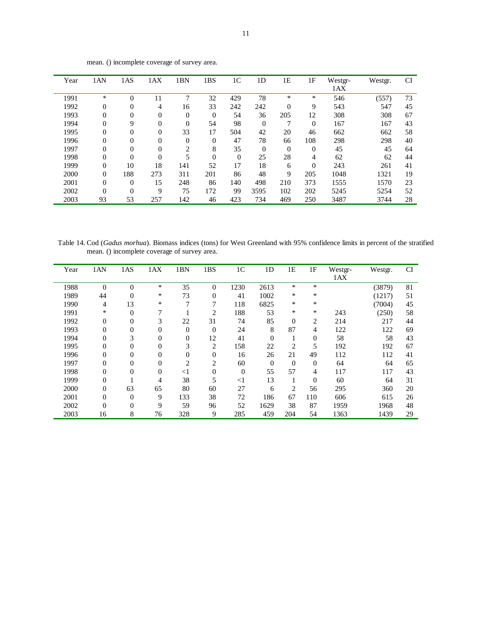| Year | 1AN            | 1AS            | 1AX            | 1BN            | 1BS            | 1 <sup>C</sup> | 1D             | 1E             | 1F             | Westgr- | Westgr. | <b>CI</b> |
|------|----------------|----------------|----------------|----------------|----------------|----------------|----------------|----------------|----------------|---------|---------|-----------|
|      |                |                |                |                |                |                |                |                |                | 1AX     |         |           |
| 1991 | *              | $\theta$       | 11             | 7              | 32             | 429            | 78             | *              | *              | 546     | (557)   | 73        |
| 1992 | $\mathbf{0}$   | $\overline{0}$ | $\overline{4}$ | 16             | 33             | 242            | 242            | $\theta$       | 9              | 543     | 547     | 45        |
| 1993 | $\mathbf{0}$   | $\overline{0}$ | $\overline{0}$ | $\overline{0}$ | $\overline{0}$ | 54             | 36             | 205            | 12             | 308     | 308     | 67        |
| 1994 | $\mathbf{0}$   | 9              | $\overline{0}$ | $\Omega$       | 54             | 98             | $\overline{0}$ | 7              | $\theta$       | 167     | 167     | 43        |
| 1995 | $\mathbf{0}$   | $\overline{0}$ | $\overline{0}$ | 33             | 17             | 504            | 42             | 20             | 46             | 662     | 662     | 58        |
| 1996 | $\mathbf{0}$   | $\theta$       | $\Omega$       | $\Omega$       | $\Omega$       | 47             | 78             | 66             | 108            | 298     | 298     | 40        |
| 1997 | $\mathbf{0}$   | $\overline{0}$ | $\overline{0}$ | 2              | 8              | 35             | $\theta$       | $\overline{0}$ | $\overline{0}$ | 45      | 45      | 64        |
| 1998 | $\mathbf{0}$   | $\overline{0}$ | $\Omega$       | 5              | $\overline{0}$ | $\overline{0}$ | 25             | 28             | 4              | 62      | 62      | 44        |
| 1999 | $\mathbf{0}$   | 10             | 18             | 141            | 52             | 17             | 18             | 6              | $\overline{0}$ | 243     | 261     | 41        |
| 2000 | $\mathbf{0}$   | 188            | 273            | 311            | 201            | 86             | 48             | 9              | 205            | 1048    | 1321    | 19        |
| 2001 | $\mathbf{0}$   | $\theta$       | 15             | 248            | 86             | 140            | 498            | 210            | 373            | 1555    | 1570    | 23        |
| 2002 | $\overline{0}$ | $\overline{0}$ | 9              | 75             | 172            | 99             | 3595           | 102            | 202            | 5245    | 5254    | 52        |
| 2003 | 93             | 53             | 257            | 142            | 46             | 423            | 734            | 469            | 250            | 3487    | 3744    | 28        |

mean. () incomplete coverage of survey area.

Table 14. Cod (*Gadus morhua*). Biomass indices (tons) for West Greenland with 95% confidence limits in percent of the stratified mean. () incomplete coverage of survey area.

| Year | 1AN              | 1AS            | 1AX      | 1BN            | 1BS            | 1 <sup>C</sup> | 1 <sub>D</sub> | 1E             | 1F             | Westgr- | Westgr. | <b>CI</b> |
|------|------------------|----------------|----------|----------------|----------------|----------------|----------------|----------------|----------------|---------|---------|-----------|
|      |                  |                |          |                |                |                |                |                |                | 1AX     |         |           |
| 1988 | $\theta$         | $\overline{0}$ | ∗        | 35             | $\overline{0}$ | 1230           | 2613           | $\ast$         | $\ast$         |         | (3879)  | 81        |
| 1989 | 44               | $\overline{0}$ | *        | 73             | $\theta$       | 41             | 1002           | *              | ∗              |         | (1217)  | 51        |
| 1990 | 4                | 13             | *        | 7              | 7              | 118            | 6825           | *              | *              |         | (7004)  | 45        |
| 1991 | *                | $\overline{0}$ | 7        |                | 2              | 188            | 53             | *              | ∗              | 243     | (250)   | 58        |
| 1992 | $\boldsymbol{0}$ | $\overline{0}$ | 3        | 22             | 31             | 74             | 85             | $\theta$       | $\overline{2}$ | 214     | 217     | 44        |
| 1993 | $\boldsymbol{0}$ | $\overline{0}$ | $\Omega$ | $\mathbf{0}$   | $\theta$       | 24             | 8              | 87             | 4              | 122     | 122     | 69        |
| 1994 | $\boldsymbol{0}$ | 3              | $\Omega$ | $\theta$       | 12             | 41             | $\Omega$       | 1              | $\overline{0}$ | 58      | 58      | 43        |
| 1995 | $\mathbf{0}$     | $\overline{0}$ | $\Omega$ | 3              | $\overline{c}$ | 158            | 22             | $\overline{2}$ | 5              | 192     | 192     | 67        |
| 1996 | $\overline{0}$   | $\overline{0}$ | $\Omega$ | $\Omega$       | $\Omega$       | 16             | 26             | 21             | 49             | 112     | 112     | 41        |
| 1997 | $\mathbf{0}$     | $\overline{0}$ | $\theta$ | $\overline{c}$ | 2              | 60             | $\Omega$       | $\Omega$       | $\overline{0}$ | 64      | 64      | 65        |
| 1998 | $\mathbf{0}$     | $\theta$       | $\theta$ | $<$ 1          | $\theta$       | $\overline{0}$ | 55             | 57             | 4              | 117     | 117     | 43        |
| 1999 | $\theta$         |                | 4        | 38             | 5              | $<$ 1          | 13             |                | $\theta$       | 60      | 64      | 31        |
| 2000 | $\mathbf{0}$     | 63             | 65       | 80             | 60             | 27             | 6              | $\overline{2}$ | 56             | 295     | 360     | 20        |
| 2001 | $\overline{0}$   | $\overline{0}$ | 9        | 133            | 38             | 72             | 186            | 67             | 110            | 606     | 615     | 26        |
| 2002 | $\theta$         | $\theta$       | 9        | 59             | 96             | 52             | 1629           | 38             | 87             | 1959    | 1968    | 48        |
| 2003 | 16               | 8              | 76       | 328            | 9              | 285            | 459            | 204            | 54             | 1363    | 1439    | 29        |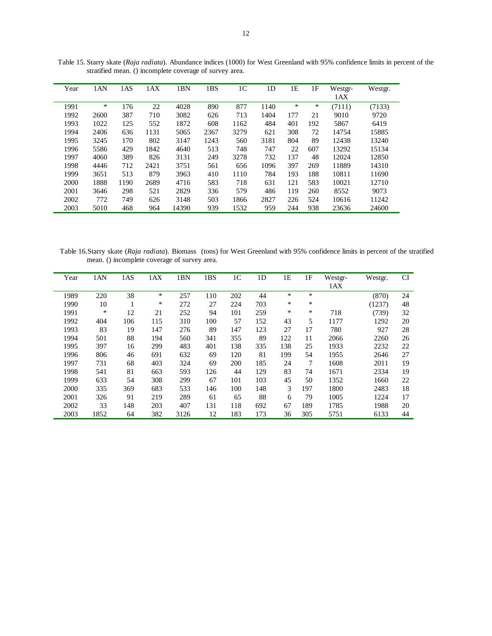| Year | 1AN  | 1AS  | 1AX  | 1BN   | 1BS  | 1 <sup>C</sup> | 1 <sub>D</sub> | 1E  | 1F  | Westgr- | Westgr. |
|------|------|------|------|-------|------|----------------|----------------|-----|-----|---------|---------|
|      |      |      |      |       |      |                |                |     |     | 1AX     |         |
| 1991 | ∗    | 176  | 22   | 4028  | 890  | 877            | 1140           | ∗   | ∗   | (7111)  | (7133)  |
| 1992 | 2600 | 387  | 710  | 3082  | 626  | 713            | 1404           | 177 | 21  | 9010    | 9720    |
| 1993 | 1022 | 125  | 552  | 1872  | 608  | 1162           | 484            | 401 | 192 | 5867    | 6419    |
| 1994 | 2406 | 636  | 1131 | 5065  | 2367 | 3279           | 621            | 308 | 72  | 14754   | 15885   |
| 1995 | 3245 | 170  | 802  | 3147  | 1243 | 560            | 3181           | 804 | 89  | 12438   | 13240   |
| 1996 | 5586 | 429  | 1842 | 4640  | 513  | 748            | 747            | 22  | 607 | 13292   | 15134   |
| 1997 | 4060 | 389  | 826  | 3131  | 249  | 3278           | 732            | 137 | 48  | 12024   | 12850   |
| 1998 | 4446 | 712  | 2421 | 3751  | 561  | 656            | 1096           | 397 | 269 | 11889   | 14310   |
| 1999 | 3651 | 513  | 879  | 3963  | 410  | 1110           | 784            | 193 | 188 | 10811   | 11690   |
| 2000 | 1888 | 1190 | 2689 | 4716  | 583  | 718            | 631            | 121 | 583 | 10021   | 12710   |
| 2001 | 3646 | 298  | 521  | 2829  | 336  | 579            | 486            | 119 | 260 | 8552    | 9073    |
| 2002 | 772  | 749  | 626  | 3148  | 503  | 1866           | 2827           | 226 | 524 | 10616   | 11242   |
| 2003 | 5010 | 468  | 964  | 14390 | 939  | 1532           | 959            | 244 | 938 | 23636   | 24600   |
|      |      |      |      |       |      |                |                |     |     |         |         |

Table 15. Starry skate (*Raja radiata*). Abundance indices (1000) for West Greenland with 95% confidence limits in percent of the stratified mean. () incomplete coverage of survey area.

 Table 16.Starry skate (*Raja radiata*). Biomass (tons) for West Greenland with 95% confidence limits in percent of the stratified mean. () incomplete coverage of survey area.

| Year | 1AN  | 1AS | 1AX | 1BN  | 1BS | 1 <sup>C</sup> | 1 <sub>D</sub> | 1E  | 1F  | Westgr- | Westgr. | <b>CI</b> |
|------|------|-----|-----|------|-----|----------------|----------------|-----|-----|---------|---------|-----------|
|      |      |     |     |      |     |                |                |     |     | 1AX     |         |           |
| 1989 | 220  | 38  | *   | 257  | 110 | 202            | 44             | *   | *   |         | (870)   | 24        |
| 1990 | 10   | 1   | *   | 272  | 27  | 224            | 703            | *   | *   |         | (1237)  | 48        |
| 1991 | *    | 12  | 21  | 252  | 94  | 101            | 259            | *   | *   | 718     | (739)   | 32        |
| 1992 | 404  | 106 | 115 | 310  | 100 | 57             | 152            | 43  | 5   | 1177    | 1292    | 20        |
| 1993 | 83   | 19  | 147 | 276  | 89  | 147            | 123            | 27  | 17  | 780     | 927     | 28        |
| 1994 | 501  | 88  | 194 | 560  | 341 | 355            | 89             | 122 | 11  | 2066    | 2260    | 26        |
| 1995 | 397  | 16  | 299 | 483  | 401 | 138            | 335            | 138 | 25  | 1933    | 2232    | 22        |
| 1996 | 806  | 46  | 691 | 632  | 69  | 120            | 81             | 199 | 54  | 1955    | 2646    | 27        |
| 1997 | 731  | 68  | 403 | 324  | 69  | 200            | 185            | 24  | 7   | 1608    | 2011    | 19        |
| 1998 | 541  | 81  | 663 | 593  | 126 | 44             | 129            | 83  | 74  | 1671    | 2334    | 19        |
| 1999 | 633  | 54  | 308 | 299  | 67  | 101            | 103            | 45  | 50  | 1352    | 1660    | 22        |
| 2000 | 335  | 369 | 683 | 533  | 146 | 100            | 148            | 3   | 197 | 1800    | 2483    | 18        |
| 2001 | 326  | 91  | 219 | 289  | 61  | 65             | 88             | 6   | 79  | 1005    | 1224    | 17        |
| 2002 | 33   | 148 | 203 | 407  | 131 | 118            | 692            | 67  | 189 | 1785    | 1988    | 20        |
| 2003 | 1852 | 64  | 382 | 3126 | 12  | 183            | 173            | 36  | 305 | 5751    | 6133    | 44        |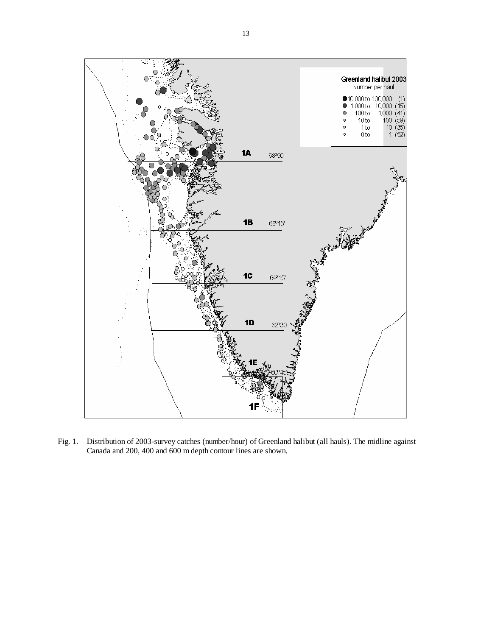

Fig. 1. Distribution of 2003-survey catches (number/hour) of Greenland halibut (all hauls). The midline against Canada and 200, 400 and 600 m depth contour lines are shown.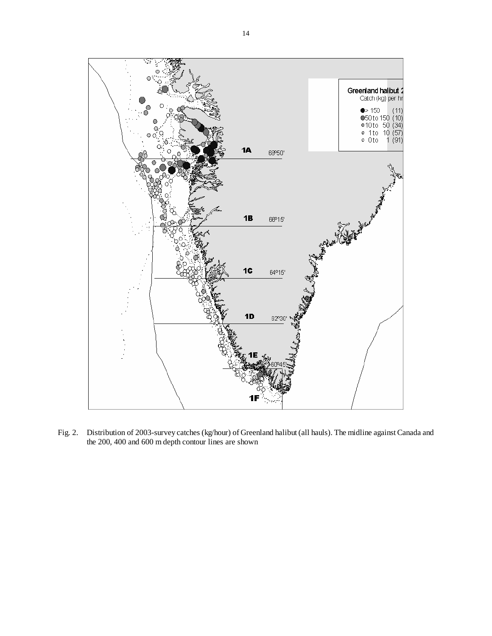

Fig. 2. Distribution of 2003-survey catches (kg/hour) of Greenland halibut (all hauls). The midline against Canada and the 200, 400 and 600 m depth contour lines are shown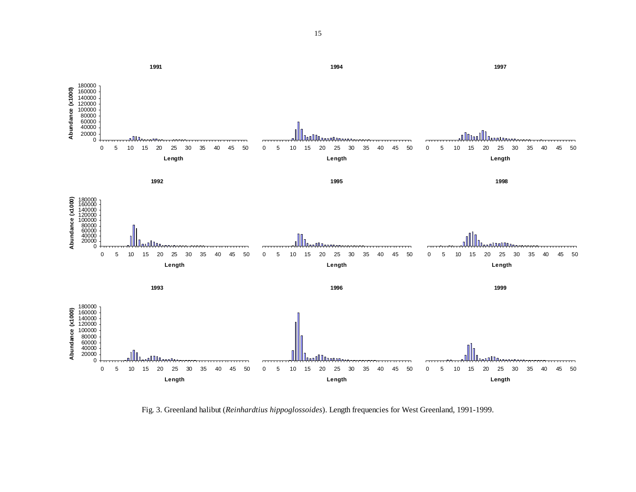

Fig. 3. Greenland halibut (*Reinhardtius hippoglossoides*). Length frequencies for West Greenland, 1991-1999.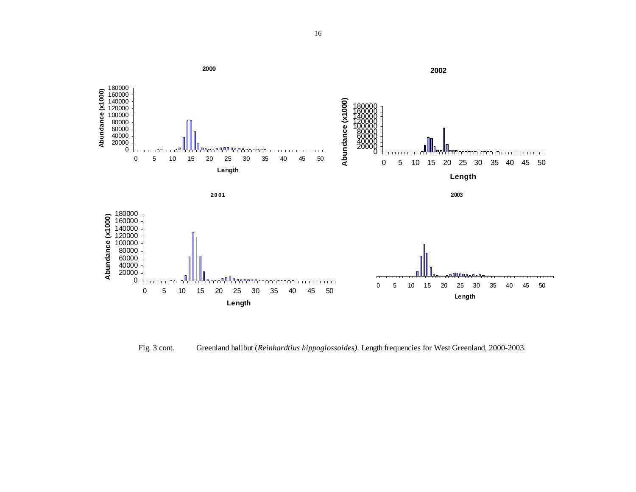

Fig. 3 cont. Greenland halibut (*Reinhardtius hippoglossoides).* Length frequencies for West Greenland, 2000-2003.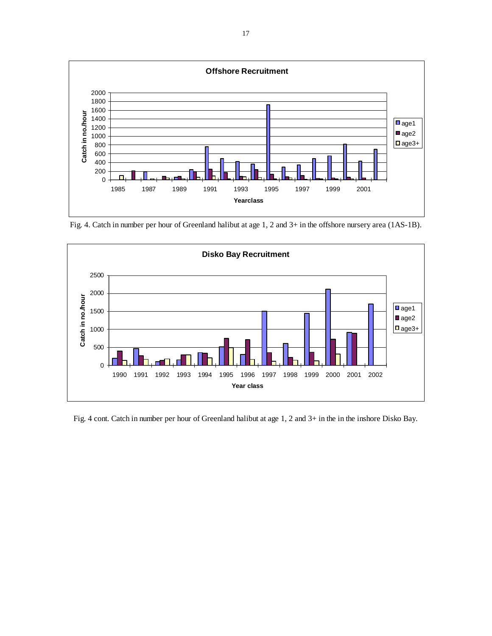

Fig. 4. Catch in number per hour of Greenland halibut at age 1, 2 and 3+ in the offshore nursery area (1AS-1B).



Fig. 4 cont. Catch in number per hour of Greenland halibut at age 1, 2 and 3+ in the in the inshore Disko Bay.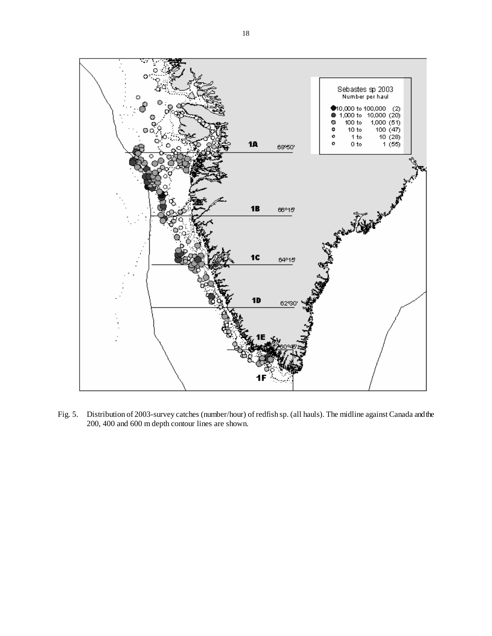

Fig. 5. Distribution of 2003-survey catches (number/hour) of redfish sp. (all hauls). The midline against Canada and the 200, 400 and 600 m depth contour lines are shown.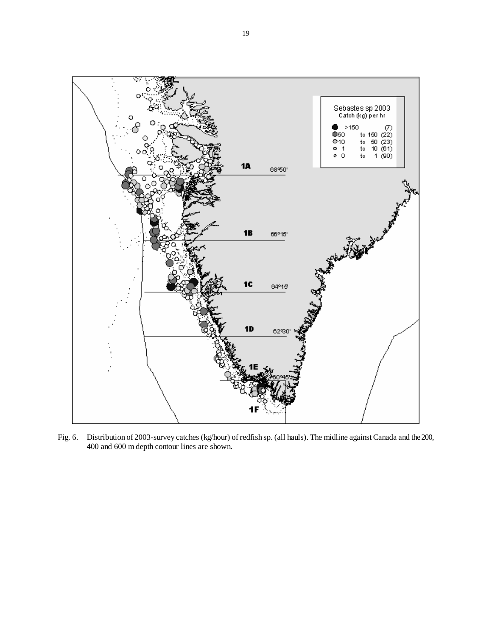

Fig. 6. Distribution of 2003-survey catches (kg/hour) of redfish sp. (all hauls). The midline against Canada and the 200, 400 and 600 m depth contour lines are shown.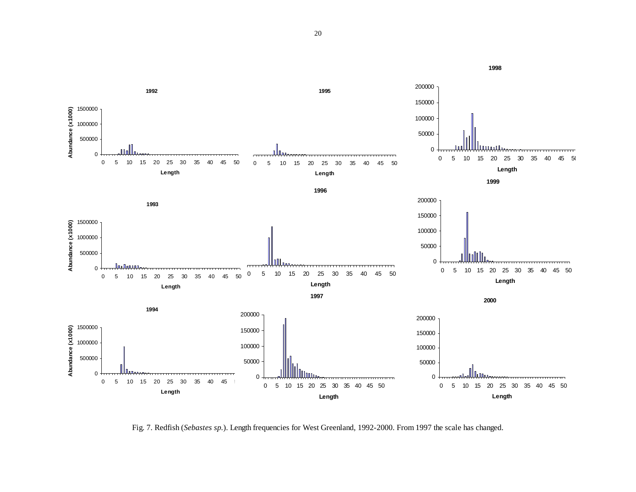

Fig. 7. Redfish (*Sebastes sp.*). Length frequencies for West Greenland, 1992-2000. From 1997 the scale has changed.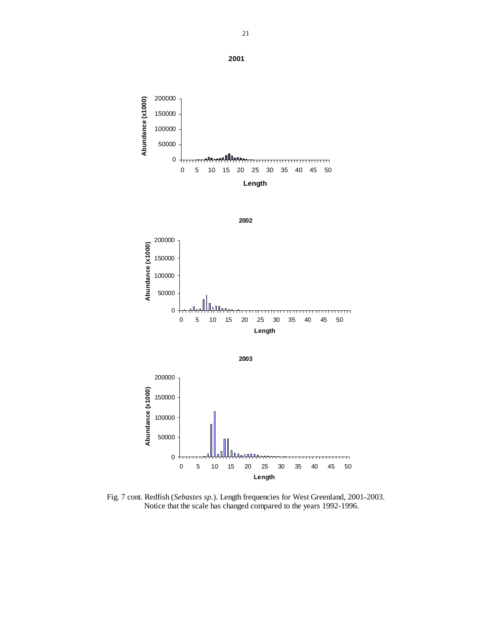200000 Abundance (x1000) **Abundance (x1000)**150000 100000 50000 بمبالليم 0 0 5 10 15 20 25 30 35 40 45 50







Fig. 7 cont. Redfish (*Sebastes sp.*). Length frequencies for West Greenland, 2001-2003. Notice that the scale has changed compared to the years 1992-1996.

21

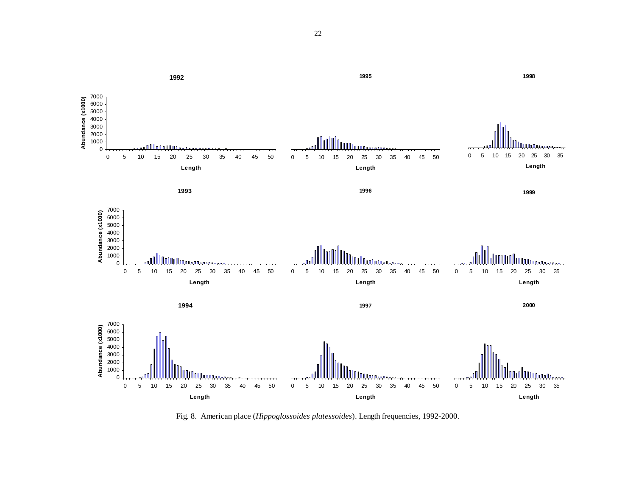

Fig. 8. American place (*Hippoglossoides platessoides*). Length frequencies, 1992-2000.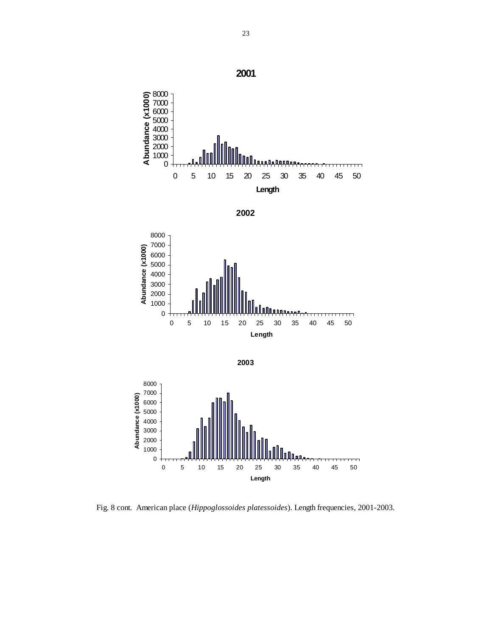









Fig. 8 cont. American place (*Hippoglossoides platessoides*). Length frequencies, 2001-2003.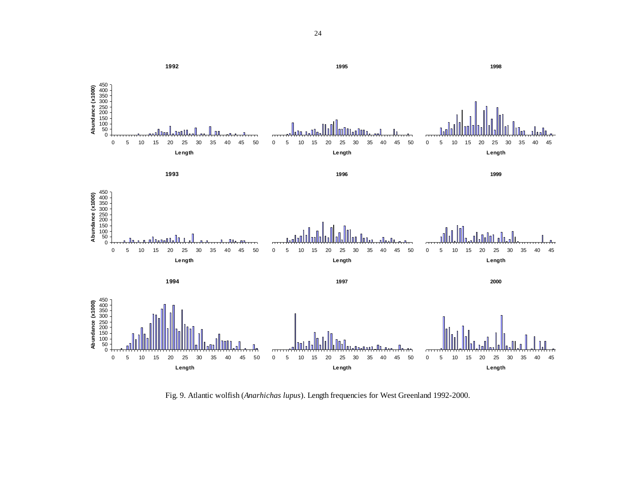

Fig. 9. Atlantic wolfish (*Anarhichas lupus*). Length frequencies for West Greenland 1992-2000.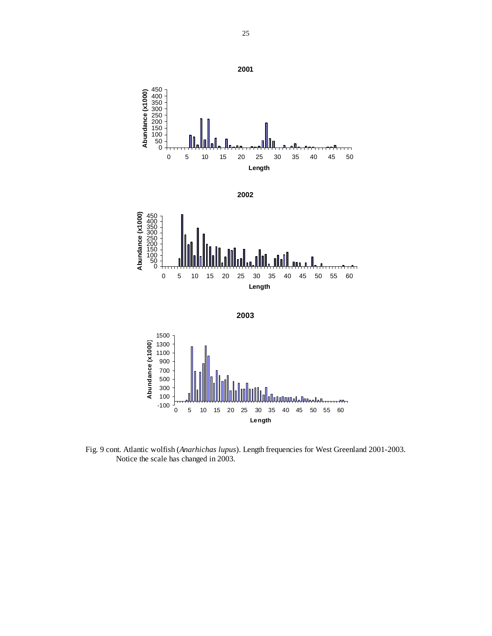

Fig. 9 cont. Atlantic wolfish (*Anarhichas lupus*). Length frequencies for West Greenland 2001-2003. Notice the scale has changed in 2003.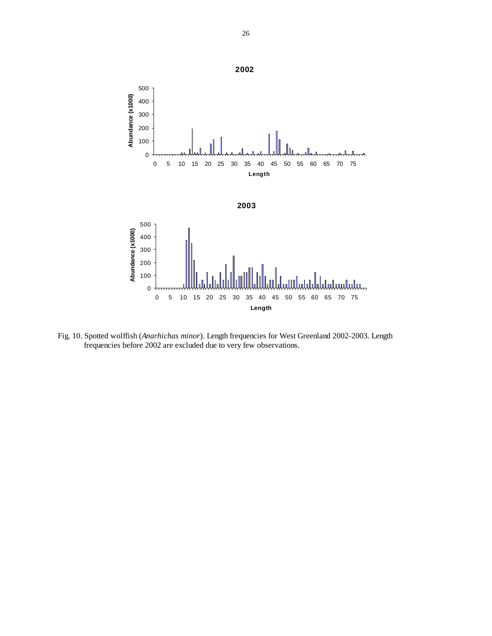

Fig. 10. Spotted wolffish (*Anarhichas minor*). Length frequencies for West Greenland 2002-2003. Length frequencies before 2002 are excluded due to very few observations.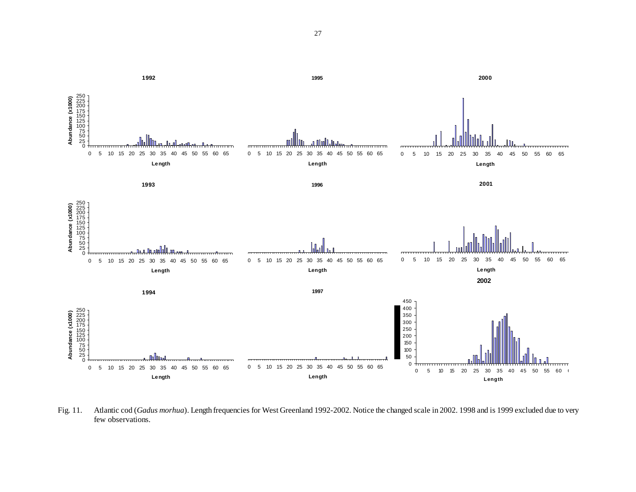

Fig. 11. Atlantic cod (*Gadus morhua*). Length frequencies for West Greenland 1992-2002. Notice the changed scale in 2002. 1998 and is 1999 excluded due to very few observations.